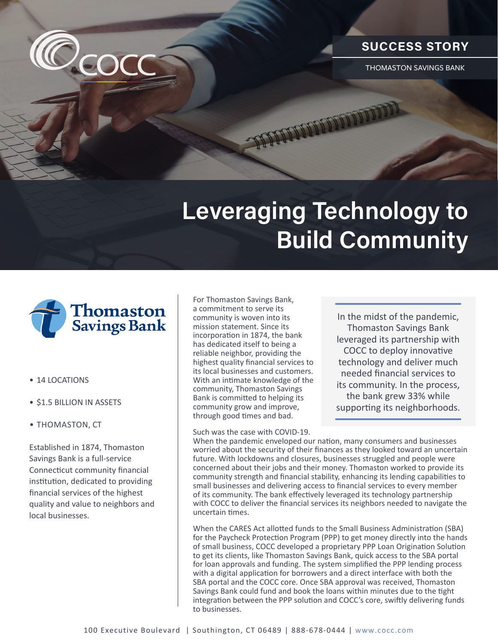

THOMASTON SAVINGS BANK

## **Leveraging Technology to Build Community**



 $\mathcal{O}_{\mathsf{CO}}$ 

- 14 LOCATIONS
- \$1.5 BILLION IN ASSETS
- THOMASTON, CT

Established in 1874, Thomaston Savings Bank is a full-service Connecticut community financial institution, dedicated to providing financial services of the highest quality and value to neighbors and local businesses.

For Thomaston Savings Bank, a commitment to serve its community is woven into its mission statement. Since its incorporation in 1874, the bank has dedicated itself to being a reliable neighbor, providing the highest quality financial services to its local businesses and customers. With an intimate knowledge of the community, Thomaston Savings Bank is committed to helping its community grow and improve, through good times and bad.

Such was the case with COVID-19.

In the midst of the pandemic, Thomaston Savings Bank leveraged its partnership with COCC to deploy innovative technology and deliver much needed financial services to its community. In the process, the bank grew 33% while supporting its neighborhoods.

When the pandemic enveloped our nation, many consumers and businesses worried about the security of their finances as they looked toward an uncertain future. With lockdowns and closures, businesses struggled and people were concerned about their jobs and their money. Thomaston worked to provide its community strength and financial stability, enhancing its lending capabilities to small businesses and delivering access to financial services to every member of its community. The bank effectively leveraged its technology partnership with COCC to deliver the financial services its neighbors needed to navigate the uncertain times.

When the CARES Act allotted funds to the Small Business Administration (SBA) for the Paycheck Protection Program (PPP) to get money directly into the hands of small business, COCC developed a proprietary PPP Loan Origination Solution to get its clients, like Thomaston Savings Bank, quick access to the SBA portal for loan approvals and funding. The system simplified the PPP lending process with a digital application for borrowers and a direct interface with both the SBA portal and the COCC core. Once SBA approval was received, Thomaston Savings Bank could fund and book the loans within minutes due to the tight integration between the PPP solution and COCC's core, swiftly delivering funds to businesses.